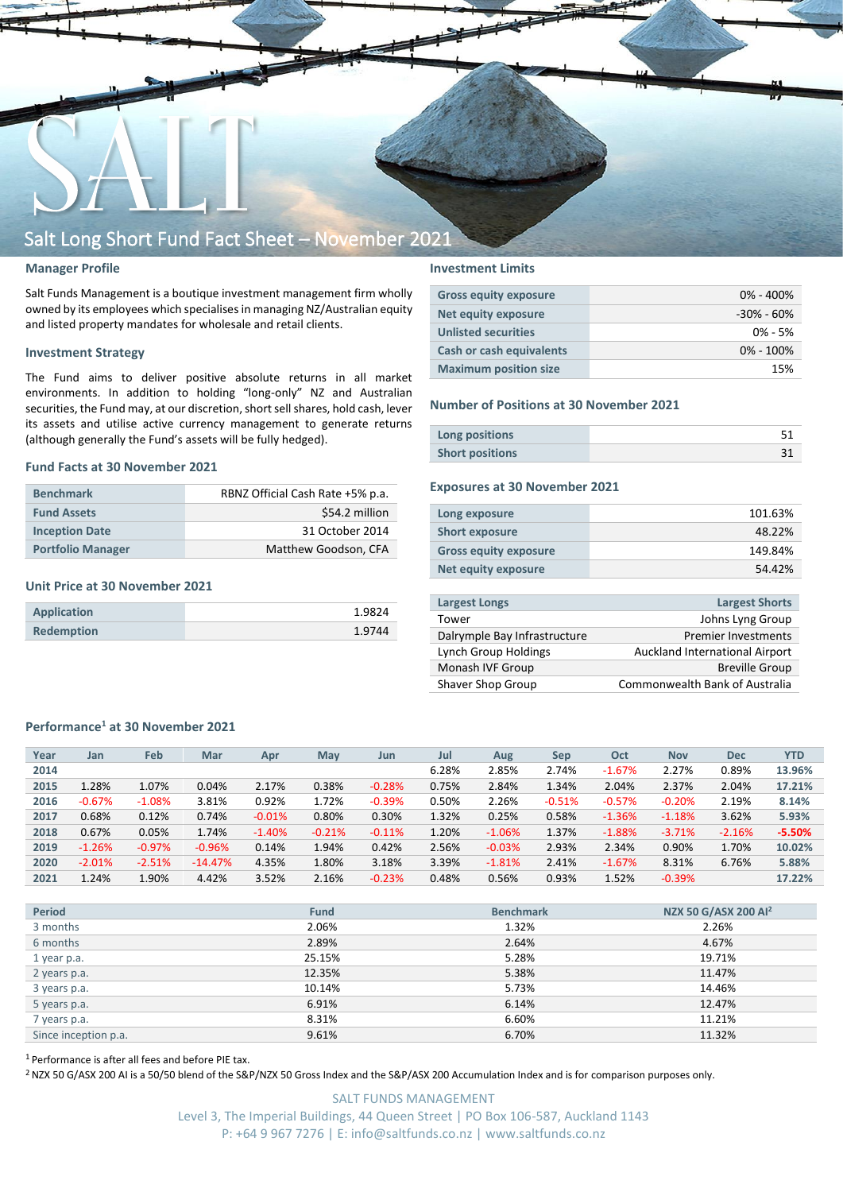

#### **Manager Profile**

Salt Funds Management is a boutique investment management firm wholly owned by its employees which specialisesin managing NZ/Australian equity and listed property mandates for wholesale and retail clients.

#### **Investment Strategy**

The Fund aims to deliver positive absolute returns in all market environments. In addition to holding "long-only" NZ and Australian securities, the Fund may, at our discretion, short sell shares, hold cash, lever its assets and utilise active currency management to generate returns (although generally the Fund's assets will be fully hedged).

#### **Fund Facts at 30 November 2021**

| <b>Benchmark</b>         | RBNZ Official Cash Rate +5% p.a. |
|--------------------------|----------------------------------|
| <b>Fund Assets</b>       | \$54.2 million                   |
| <b>Inception Date</b>    | 31 October 2014                  |
| <b>Portfolio Manager</b> | Matthew Goodson, CFA             |

#### **Unit Price at 30 November 2021**

| Application       | 1.9824 |
|-------------------|--------|
| <b>Redemption</b> | 1.9744 |

#### **Investment Limits**

| <b>Gross equity exposure</b>    | $0\% - 400\%$  |
|---------------------------------|----------------|
| <b>Net equity exposure</b>      | $-30\% - 60\%$ |
| <b>Unlisted securities</b>      | $0\% - 5\%$    |
| <b>Cash or cash equivalents</b> | $0\% - 100\%$  |
| <b>Maximum position size</b>    | 15%            |

#### **Number of Positions at 30 November 2021**

| Long positions         |  |
|------------------------|--|
| <b>Short positions</b> |  |

#### **Exposures at 30 November 2021**

| Long exposure                | 101.63% |
|------------------------------|---------|
| <b>Short exposure</b>        | 48.22%  |
| <b>Gross equity exposure</b> | 149.84% |
| Net equity exposure          | 54.42%  |
|                              |         |

| <b>Largest Longs</b>         | <b>Largest Shorts</b>                 |
|------------------------------|---------------------------------------|
| Tower                        | Johns Lyng Group                      |
| Dalrymple Bay Infrastructure | <b>Premier Investments</b>            |
| Lynch Group Holdings         | Auckland International Airport        |
| Monash IVF Group             | <b>Breville Group</b>                 |
| Shaver Shop Group            | <b>Commonwealth Bank of Australia</b> |

#### **Performance<sup>1</sup> at 30 November 2021**

| Jul<br><b>YTD</b><br>Feb<br>Oct<br>Year<br>Mar<br>May<br>Aug<br><b>Nov</b><br><b>Dec</b><br>Jan<br>Sep<br>Apr<br>Jun<br>6.28%<br>2.85%<br>2.74%<br>2.27%<br>0.89%<br>2014<br>$-1.67%$<br>1.28%<br>0.38%<br>1.07%<br>0.04%<br>0.75%<br>2.84%<br>2.37%<br>2015<br>2.17%<br>$-0.28%$<br>1.34%<br>2.04%<br>2.04% |  |  |  |  |  |  |          |
|--------------------------------------------------------------------------------------------------------------------------------------------------------------------------------------------------------------------------------------------------------------------------------------------------------------|--|--|--|--|--|--|----------|
|                                                                                                                                                                                                                                                                                                              |  |  |  |  |  |  |          |
|                                                                                                                                                                                                                                                                                                              |  |  |  |  |  |  | 13.96%   |
|                                                                                                                                                                                                                                                                                                              |  |  |  |  |  |  | 17.21%   |
| $-0.67%$<br>3.81%<br>0.92%<br>1.72%<br>0.50%<br>2.26%<br>$-1.08%$<br>$-0.39%$<br>$-0.20%$<br>2.19%<br>2016<br>$-0.51%$<br>$-0.57%$                                                                                                                                                                           |  |  |  |  |  |  | 8.14%    |
| 0.68%<br>0.30%<br>1.32%<br>0.12%<br>0.80%<br>0.25%<br>0.58%<br>3.62%<br>0.74%<br>$-1.36%$<br>2017<br>$-0.01%$<br>$-1.18%$                                                                                                                                                                                    |  |  |  |  |  |  | 5.93%    |
| 0.67%<br>0.05%<br>1.37%<br>1.74%<br>1.20%<br>$-1.06%$<br>2018<br>$-1.40%$<br>$-0.21%$<br>$-0.11%$<br>$-1.88%$<br>$-2.16%$<br>$-3.71%$                                                                                                                                                                        |  |  |  |  |  |  | $-5.50%$ |
| 2.56%<br>$-1.26%$<br>0.42%<br>2.93%<br>2.34%<br>0.90%<br>$-0.97%$<br>$-0.96%$<br>0.14%<br>1.94%<br>1.70%<br>2019<br>$-0.03%$                                                                                                                                                                                 |  |  |  |  |  |  | 10.02%   |
| 4.35%<br>3.39%<br>$-2.51%$<br>$-14.47%$<br>1.80%<br>3.18%<br>8.31%<br>2020<br>$-2.01%$<br>2.41%<br>$-1.67%$<br>6.76%<br>$-1.81%$                                                                                                                                                                             |  |  |  |  |  |  | 5.88%    |
| 1.90%<br>3.52%<br>1.52%<br>1.24%<br>4.42%<br>2.16%<br>0.48%<br>0.56%<br>0.93%<br>$-0.23%$<br>2021<br>$-0.39%$                                                                                                                                                                                                |  |  |  |  |  |  | 17.22%   |

| <b>Period</b>        | <b>Fund</b> | <b>Benchmark</b> | NZX 50 G/ASX 200 AI <sup>2</sup> |
|----------------------|-------------|------------------|----------------------------------|
| 3 months             | 2.06%       | 1.32%            | 2.26%                            |
| 6 months             | 2.89%       | 2.64%            | 4.67%                            |
| 1 year p.a.          | 25.15%      | 5.28%            | 19.71%                           |
| 2 years p.a.         | 12.35%      | 5.38%            | 11.47%                           |
| 3 years p.a.         | 10.14%      | 5.73%            | 14.46%                           |
| 5 years p.a.         | 6.91%       | 6.14%            | 12.47%                           |
| 7 years p.a.         | 8.31%       | 6.60%            | 11.21%                           |
| Since inception p.a. | 9.61%       | 6.70%            | 11.32%                           |

<sup>1</sup> Performance is after all fees and before PIE tax.

<sup>2</sup> NZX 50 G/ASX 200 AI is a 50/50 blend of the S&P/NZX 50 Gross Index and the S&P/ASX 200 Accumulation Index and is for comparison purposes only.

SALT FUNDS MANAGEMENT Level 3, The Imperial Buildings, 44 Queen Street | PO Box 106-587, Auckland 1143 P: +64 9 967 7276 | E: info@saltfunds.co.nz | www.saltfunds.co.nz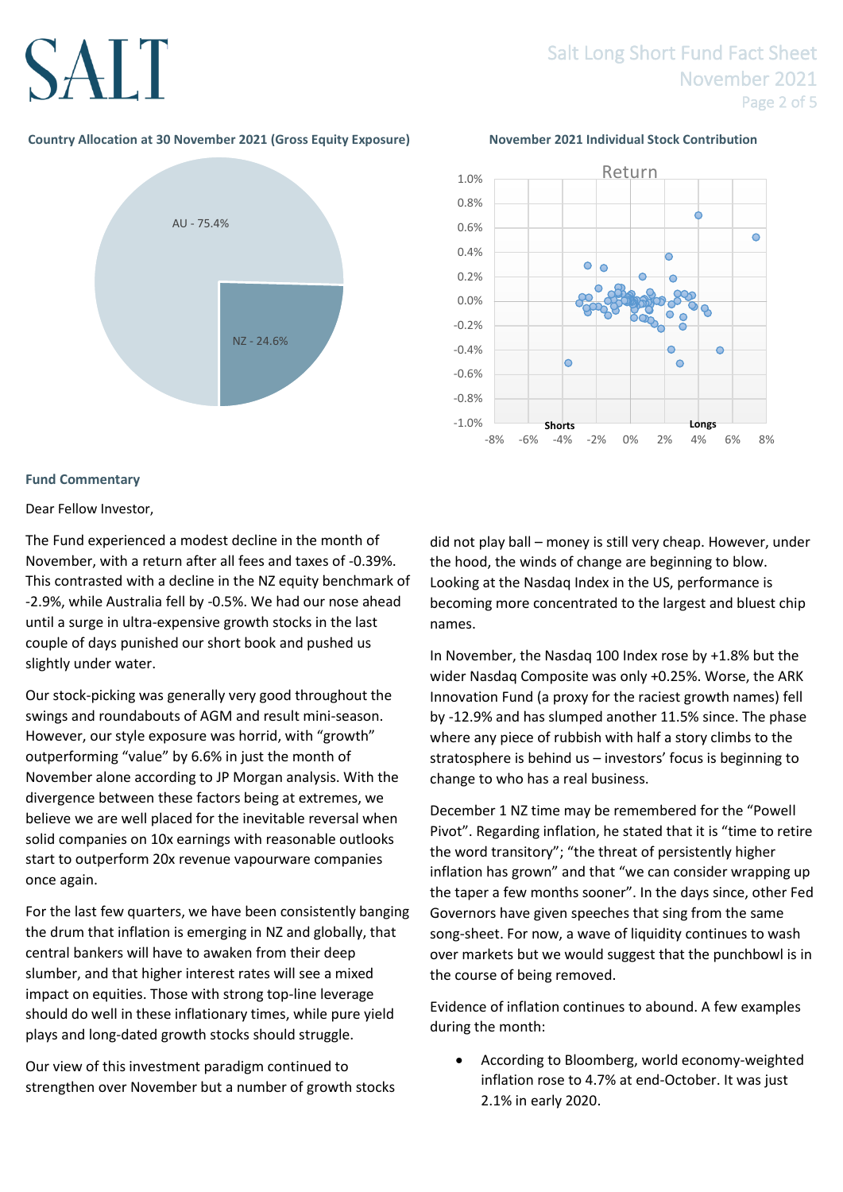# SALT

### Salt Long Short Fund Fact Sheet November 2021 Page 2 of 5

#### **Country Allocation at 30 November 2021 (Gross Equity Exposure) November 2021 Individual Stock Contribution**





#### **Fund Commentary**

#### Dear Fellow Investor,

The Fund experienced a modest decline in the month of November, with a return after all fees and taxes of -0.39%. This contrasted with a decline in the NZ equity benchmark of -2.9%, while Australia fell by -0.5%. We had our nose ahead until a surge in ultra-expensive growth stocks in the last couple of days punished our short book and pushed us slightly under water.

Our stock-picking was generally very good throughout the swings and roundabouts of AGM and result mini-season. However, our style exposure was horrid, with "growth" outperforming "value" by 6.6% in just the month of November alone according to JP Morgan analysis. With the divergence between these factors being at extremes, we believe we are well placed for the inevitable reversal when solid companies on 10x earnings with reasonable outlooks start to outperform 20x revenue vapourware companies once again.

For the last few quarters, we have been consistently banging the drum that inflation is emerging in NZ and globally, that central bankers will have to awaken from their deep slumber, and that higher interest rates will see a mixed impact on equities. Those with strong top-line leverage should do well in these inflationary times, while pure yield plays and long-dated growth stocks should struggle.

Our view of this investment paradigm continued to strengthen over November but a number of growth stocks did not play ball – money is still very cheap. However, under the hood, the winds of change are beginning to blow. Looking at the Nasdaq Index in the US, performance is becoming more concentrated to the largest and bluest chip names.

In November, the Nasdaq 100 Index rose by +1.8% but the wider Nasdaq Composite was only +0.25%. Worse, the ARK Innovation Fund (a proxy for the raciest growth names) fell by -12.9% and has slumped another 11.5% since. The phase where any piece of rubbish with half a story climbs to the stratosphere is behind us – investors' focus is beginning to change to who has a real business.

December 1 NZ time may be remembered for the "Powell Pivot". Regarding inflation, he stated that it is "time to retire the word transitory"; "the threat of persistently higher inflation has grown" and that "we can consider wrapping up the taper a few months sooner". In the days since, other Fed Governors have given speeches that sing from the same song-sheet. For now, a wave of liquidity continues to wash over markets but we would suggest that the punchbowl is in the course of being removed.

Evidence of inflation continues to abound. A few examples during the month:

• According to Bloomberg, world economy-weighted inflation rose to 4.7% at end-October. It was just 2.1% in early 2020.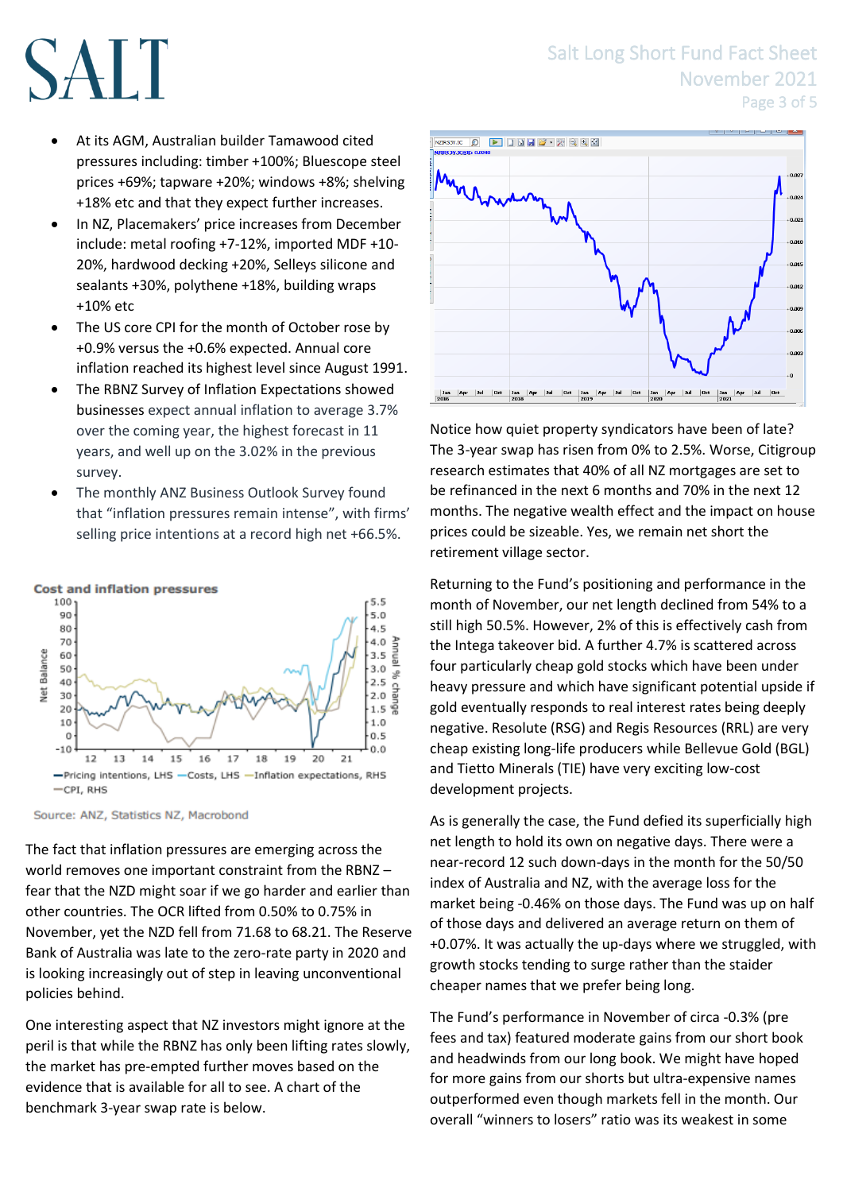### Salt Long Short Fund Fact Sheet November 2021 Page 3 of 5



- At its AGM, Australian builder Tamawood cited pressures including: timber +100%; Bluescope steel prices +69%; tapware +20%; windows +8%; shelving +18% etc and that they expect further increases.
- In NZ, Placemakers' price increases from December include: metal roofing +7-12%, imported MDF +10- 20%, hardwood decking +20%, Selleys silicone and sealants +30%, polythene +18%, building wraps +10% etc
- The US core CPI for the month of October rose by +0.9% versus the +0.6% expected. Annual core inflation reached its highest level since August 1991.
- The RBNZ Survey of Inflation Expectations showed businesses expect annual inflation to average 3.7% over the coming year, the highest forecast in 11 years, and well up on the 3.02% in the previous survey.
- The monthly ANZ Business Outlook Survey found that "inflation pressures remain intense", with firms' selling price intentions at a record high net +66.5%.



### **Cost and inflation pressures**

Source: ANZ, Statistics NZ, Macrobond

The fact that inflation pressures are emerging across the world removes one important constraint from the RBNZ – fear that the NZD might soar if we go harder and earlier than other countries. The OCR lifted from 0.50% to 0.75% in November, yet the NZD fell from 71.68 to 68.21. The Reserve Bank of Australia was late to the zero-rate party in 2020 and is looking increasingly out of step in leaving unconventional policies behind.

One interesting aspect that NZ investors might ignore at the peril is that while the RBNZ has only been lifting rates slowly, the market has pre-empted further moves based on the evidence that is available for all to see. A chart of the benchmark 3-year swap rate is below.



Notice how quiet property syndicators have been of late? The 3-year swap has risen from 0% to 2.5%. Worse, Citigroup research estimates that 40% of all NZ mortgages are set to be refinanced in the next 6 months and 70% in the next 12 months. The negative wealth effect and the impact on house prices could be sizeable. Yes, we remain net short the retirement village sector.

Returning to the Fund's positioning and performance in the month of November, our net length declined from 54% to a still high 50.5%. However, 2% of this is effectively cash from the Intega takeover bid. A further 4.7% is scattered across four particularly cheap gold stocks which have been under heavy pressure and which have significant potential upside if gold eventually responds to real interest rates being deeply negative. Resolute (RSG) and Regis Resources (RRL) are very cheap existing long-life producers while Bellevue Gold (BGL) and Tietto Minerals (TIE) have very exciting low-cost development projects.

As is generally the case, the Fund defied its superficially high net length to hold its own on negative days. There were a near-record 12 such down-days in the month for the 50/50 index of Australia and NZ, with the average loss for the market being -0.46% on those days. The Fund was up on half of those days and delivered an average return on them of +0.07%. It was actually the up-days where we struggled, with growth stocks tending to surge rather than the staider cheaper names that we prefer being long.

The Fund's performance in November of circa -0.3% (pre fees and tax) featured moderate gains from our short book and headwinds from our long book. We might have hoped for more gains from our shorts but ultra-expensive names outperformed even though markets fell in the month. Our overall "winners to losers" ratio was its weakest in some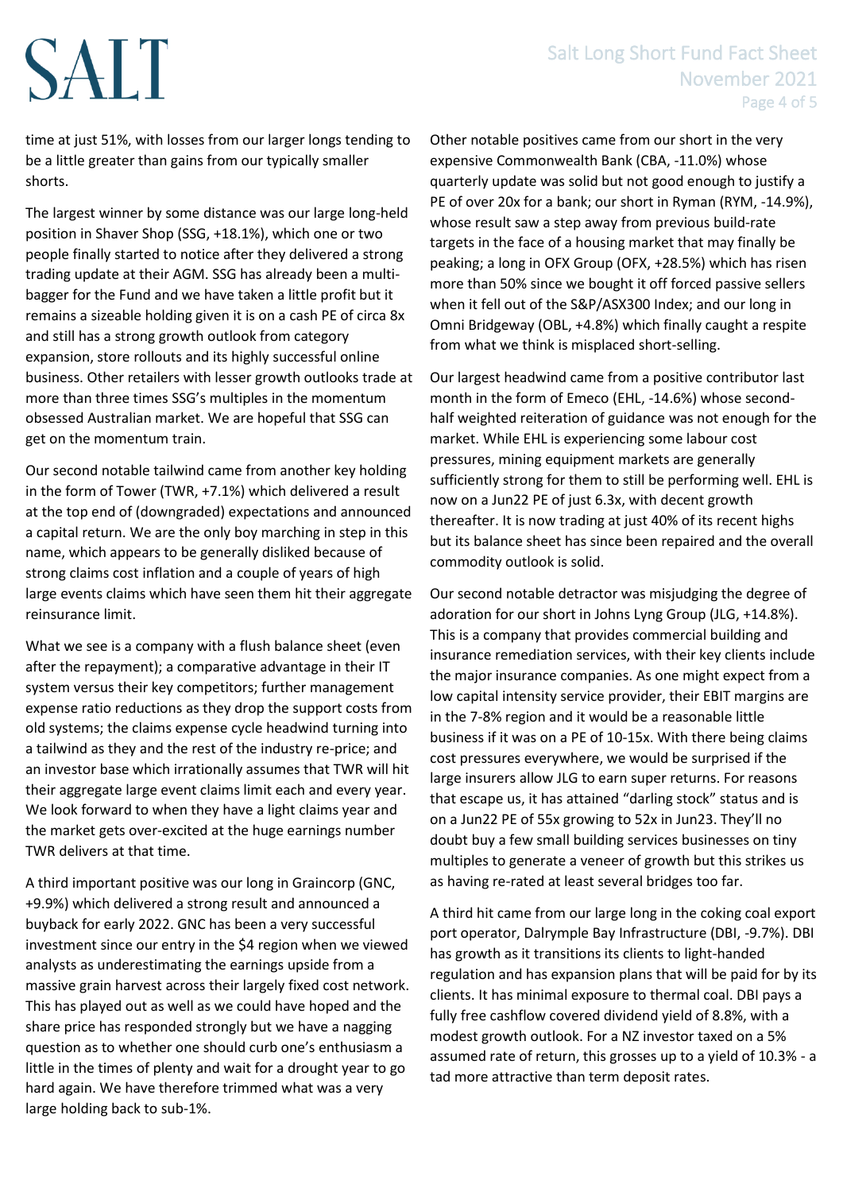# SALT

# Salt Long Short Fund Fact Sheet November 2021 Page 4 of 5

time at just 51%, with losses from our larger longs tending to be a little greater than gains from our typically smaller shorts.

The largest winner by some distance was our large long-held position in Shaver Shop (SSG, +18.1%), which one or two people finally started to notice after they delivered a strong trading update at their AGM. SSG has already been a multibagger for the Fund and we have taken a little profit but it remains a sizeable holding given it is on a cash PE of circa 8x and still has a strong growth outlook from category expansion, store rollouts and its highly successful online business. Other retailers with lesser growth outlooks trade at more than three times SSG's multiples in the momentum obsessed Australian market. We are hopeful that SSG can get on the momentum train.

Our second notable tailwind came from another key holding in the form of Tower (TWR, +7.1%) which delivered a result at the top end of (downgraded) expectations and announced a capital return. We are the only boy marching in step in this name, which appears to be generally disliked because of strong claims cost inflation and a couple of years of high large events claims which have seen them hit their aggregate reinsurance limit.

What we see is a company with a flush balance sheet (even after the repayment); a comparative advantage in their IT system versus their key competitors; further management expense ratio reductions as they drop the support costs from old systems; the claims expense cycle headwind turning into a tailwind as they and the rest of the industry re-price; and an investor base which irrationally assumes that TWR will hit their aggregate large event claims limit each and every year. We look forward to when they have a light claims year and the market gets over-excited at the huge earnings number TWR delivers at that time.

A third important positive was our long in Graincorp (GNC, +9.9%) which delivered a strong result and announced a buyback for early 2022. GNC has been a very successful investment since our entry in the \$4 region when we viewed analysts as underestimating the earnings upside from a massive grain harvest across their largely fixed cost network. This has played out as well as we could have hoped and the share price has responded strongly but we have a nagging question as to whether one should curb one's enthusiasm a little in the times of plenty and wait for a drought year to go hard again. We have therefore trimmed what was a very large holding back to sub-1%.

Other notable positives came from our short in the very expensive Commonwealth Bank (CBA, -11.0%) whose quarterly update was solid but not good enough to justify a PE of over 20x for a bank; our short in Ryman (RYM, -14.9%), whose result saw a step away from previous build-rate targets in the face of a housing market that may finally be peaking; a long in OFX Group (OFX, +28.5%) which has risen more than 50% since we bought it off forced passive sellers when it fell out of the S&P/ASX300 Index; and our long in Omni Bridgeway (OBL, +4.8%) which finally caught a respite from what we think is misplaced short-selling.

Our largest headwind came from a positive contributor last month in the form of Emeco (EHL, -14.6%) whose secondhalf weighted reiteration of guidance was not enough for the market. While EHL is experiencing some labour cost pressures, mining equipment markets are generally sufficiently strong for them to still be performing well. EHL is now on a Jun22 PE of just 6.3x, with decent growth thereafter. It is now trading at just 40% of its recent highs but its balance sheet has since been repaired and the overall commodity outlook is solid.

Our second notable detractor was misjudging the degree of adoration for our short in Johns Lyng Group (JLG, +14.8%). This is a company that provides commercial building and insurance remediation services, with their key clients include the major insurance companies. As one might expect from a low capital intensity service provider, their EBIT margins are in the 7-8% region and it would be a reasonable little business if it was on a PE of 10-15x. With there being claims cost pressures everywhere, we would be surprised if the large insurers allow JLG to earn super returns. For reasons that escape us, it has attained "darling stock" status and is on a Jun22 PE of 55x growing to 52x in Jun23. They'll no doubt buy a few small building services businesses on tiny multiples to generate a veneer of growth but this strikes us as having re-rated at least several bridges too far.

A third hit came from our large long in the coking coal export port operator, Dalrymple Bay Infrastructure (DBI, -9.7%). DBI has growth as it transitions its clients to light-handed regulation and has expansion plans that will be paid for by its clients. It has minimal exposure to thermal coal. DBI pays a fully free cashflow covered dividend yield of 8.8%, with a modest growth outlook. For a NZ investor taxed on a 5% assumed rate of return, this grosses up to a yield of 10.3% - a tad more attractive than term deposit rates.